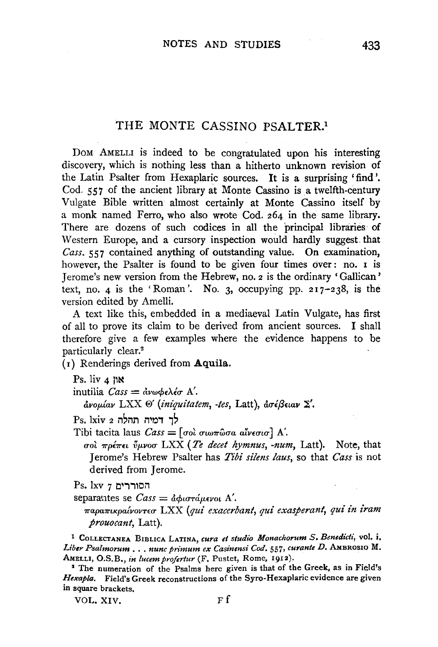## THE MONTE CASSINO PSALTER.1

DOM AMELLI is indeed to be congratulated upon his interesting discovery, which is nothing less than a hitherto unknown revision of the Latin Psalter from Hexaplaric sources. It is a surprising 'find'. Cod. 557 of the ancient library at Monte Cassino is a twelfth-century Vulgate Bible written almost certainly at Monte Cassino itself by a monk named Ferro, who also wrote Cod. 264 in the same library. There are dozens of such codices in all the principal libraries of Western Europe, and a cursory inspection would hardly suggest that Cass. 557 contained anything of outstanding value. On examination, however, the Psalter is found to be given four times over: no. 1 is Jerome's new version from the Hebrew, no. 2 is the ordinary 'Gallican' text, no. 4 is the 'Roman'. No. 3, occupying pp.  $217-238$ , is the version edited by Amelli.

A text like this, embedded in a mediaeval Latin Vulgate, has first of all to prove its claim to be derived from ancient sources. I shall therefore give a few examples where the evidence happens to be particularly clear.<sup>2</sup>

 $(r)$  Renderings derived from Aquila.

inutilia  $\text{Cass} = \text{d} \nu \omega \phi \epsilon \lambda \epsilon \sigma \Lambda'$ .

άνομίαν LXX  $\Theta'$  (iniquitatem, -tes, Latt), ασέβειαν Σ'.

- לר דמיה תהלה Ps. lxiv 2
- Tibi tacita laus  $\text{Cass} = [\text{col our} \text{diag} \text{and} \text{div} \text{col}]$  A'.

σοί πρέπει ύμνοσ LXX (Te decet hymnus, -num, Latt). Note, that Jerome's Hebrew Psalter has Tibi silens laus, so that Cass is not derived from Jerome.

 $Ps.$  lxv הסוררים

separantes se  $\text{Cas} = \text{d}\phi \text{u}$ στάμενοι Α'.

 $π$ αραπικραίνοντεσ LXX (qui exacerbant, qui exasperant, qui in iram prouocant, Latt).

<sup>1</sup> COLLECTANEA BIBLICA LATINA, cura et studio Monachorum S. Benedicti, vol. i. Liber Psalmorum . . . nunc primum ex Casinensi Cod. 557, curante D. AMBROSIO M. AMELLI, O.S.B., in lucem profertur (F. Pustet, Rome, 1912).

<sup>2</sup> The numeration of the Psalms here given is that of the Greek, as in Field's Hexapla. Field's Greek reconstructions of the Syro-Hexaplaric evidence are given in square brackets.

VOL. XIV.

Ps. liv 4 nx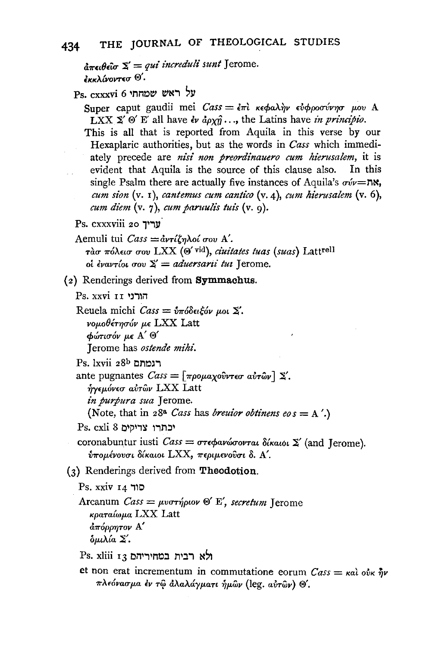```
έκκλίνοντεσ <sup>®'</sup>
```
Ps. cxxxvi 6 שמחתי

Super caput gaudii mei Cass = επί κεφαλήν εύφροσύνησ μου Α LXX  $\Sigma'$   $\Theta'$  E' all have  $\partial \phi \partial x \hat{\eta} \dots$ , the Latins have in principio.

This is all that is reported from Aquila in this verse by our Hexaplaric authorities, but as the words in Cass which immediately precede are nisi non preordinauero cum hierusalem, it is evident that Aquila is the source of this clause also. In this single Psalm there are actually five instances of Aquila's  $\sigma \nu = \mathbb{N}$ , cum sion  $(v, t)$ , cantemus cum cantico  $(v, 4)$ , cum hierusalem  $(v, 6)$ , cum diem  $(v, \eta)$ , cum paruulis tuis  $(v, q)$ .

Ps. cxxxviii 20 עריך

Aemuli tui Cass = αντίζηλοί σου Α'. τάσ πόλεισ σου LXX (Θ' vid), ciuitates tuas (suas) Lattrell οί έναντίοι σου  $\Sigma' =$  aduersarii tui Jerome.

(2) Renderings derived from Symmachus.

Ps. xxvi הורני

Reuela michi Cass =  $\hat{v}\pi\hat{o}$ δειξόν μοι Σ'.

νομοθέτησόν με LXX Latt

 $\phi$ ώτισόν με Α'  $\Theta'$ 

Terome has ostende mihi.

Ps. lxvii 28<sup>b</sup> רגמתם

ante pugnantes  $\text{Cas} = \lceil \pi \rho \circ \mu \alpha \chi \circ \hat{\nu} \nu \tau \in \sigma \; \alpha \nu \tau \hat{\omega} \nu \rceil \; \Sigma'.$ 

ηγεμόνεσ αυτών LXX Latt

in purpura sua Jerome.

(Note, that in 28<sup>a</sup> Cass has *breutor obtinens eos* =  $A'$ .)

Ps. cxli 8 יכתרו צדיקים

coronabuntur iusti  $\textit{Cass} = \sigma \tau \epsilon \phi a v \omega \sigma \sigma \nu \tau a \epsilon \delta \mu \alpha \omega \epsilon \Sigma'$  (and Jerome).  $\delta$ πομένουσι δίκαιοι LXX, περιμενούσι δ. Α'.

(3) Renderings derived from Theodotion.

Ps. xxiv פור

Arcanum Cass =  $\mu\nu\sigma\tau\eta\rho\omega\omega$   $\mathbb{E}'$ , secretum Terome κραταίωμα LXX Latt άπόρρητον Α'  $δμιλία Σ'$ .

Ps. xliii 13 רבית במחיריהם

et non erat incrementum in commutatione eorum  $\cos x = \kappa a \cdot \omega \cdot \hat{\eta} v$ πλεόνασμα έν τω άλαλάγματι ήμων (leg. αύτων) Θ'.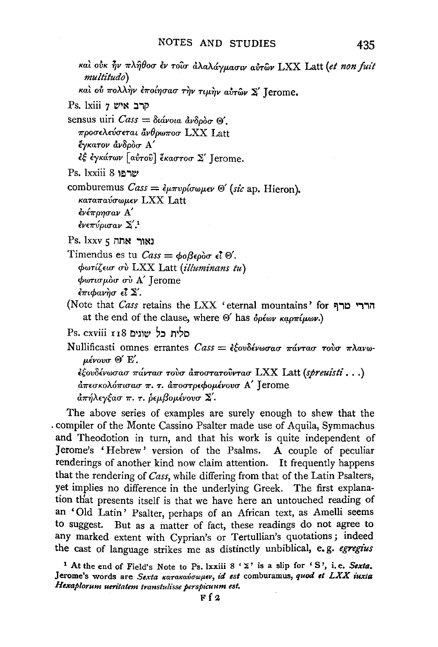και ούκ ήν πλήθοσ έν τοίσ άλαλάγμασιν αύτων LXX Latt (et non fuit multitudo

καί ού πολλήν έποίησασ την τιμήν αύτων Σ' Jerome.

Ps. lxiii 7 יש קרב

sensus uiri  $\text{Cass} = \delta u$ ávola av $\delta \rho \delta \sigma \otimes$ . προσελεύσεται άνθρωποσ LXX Latt έγκατον άνδροσ Α' έξ έγκάτων [αύτοῦ] ἕκαστοσ Σ' Jerome.

שרפו 8 Ps. lxxiii

comburemus  $\text{Cass} = \epsilon_{\mu\pi\nu\rho\sigma\omega\mu\epsilon\nu} \otimes'$  (sic ap. Hieron). καταπαύσωμεν LXX Latt ένέποησαν Α' ένεπύρισαν  $\Sigma^{\prime,1}$ 

 $Ps.$  1xxv לאור אתה

Timendus es tu  $\text{Case} = \phi_0 \beta \epsilon \rho \delta \sigma \epsilon \vec{l} \space \textcircled{s}.$ φωτίζεισ σύ LXX Latt (illuminans tu) φωτισμόσ σύ Α' Jerome  $\epsilon \pi$ ιφανήσ είΣ'.

(Note that *Cass* retains the LXX 'eternal mountains' for at the end of the clause, where  $\Theta'$  has  $\delta \rho \epsilon \omega \nu \kappa a \rho \pi (\mu \omega \nu)$ .

סלית כל שוגים Ps. cxviii פלית

Nullificasti omnes errantes  $\text{Cass} = \epsilon \xi$ ovδένωσασ πάντασ τούσ πλανωμένουσ <sup>®</sup> Ε'.  $\epsilon$ έουδένωσασ πάντασ τουσ αποστατούντασ LXX Latt (spreuisti...)

άπεσκολόπισασ π. τ. άποστρεφομένουσ Α' Jerome άπήλεγξασ π. τ. δεμβομένουσ Σ'.

The above series of examples are surely enough to shew that the compiler of the Monte Cassino Psalter made use of Aquila, Symmachus and Theodotion in turn, and that his work is quite independent of Jerome's 'Hebrew' version of the Psalms. A couple of peculiar renderings of another kind now claim attention. It frequently happens that the rendering of Cass, while differing from that of the Latin Psalters, yet implies no difference in the underlying Greek. The first explanation that presents itself is that we have here an untouched reading of an 'Old Latin' Psalter, perhaps of an African text, as Amelli seems to suggest. But as a matter of fact, these readings do not agree to any marked extent with Cyprian's or Tertullian's quotations; indeed the cast of language strikes me as distinctly unbiblical, e.g. egregius

<sup>1</sup> At the end of Field's Note to Ps. lxxiii 8 ' E' is a slip for 'S', i.e. Sexta. Jerome's words are Sexta κατακαύσωμεν, id est comburamus, quod et LXX iuxia Hexaplorum ueritatem transtulisse perspicuum est.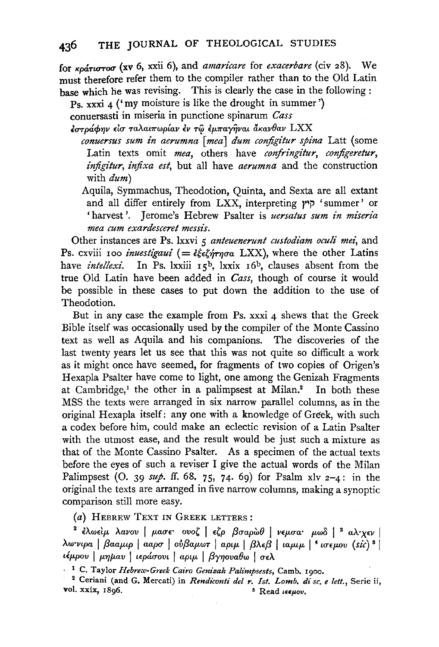for *Kp&:rurrou* (xv 6, xxii 6), and *amaricare* for *exacerbare* (civ z8). We must therefore refer them to the compiler rather than to the Old Latin base which he was revising. This is clearly the case in the following :

Ps. xxxi 4 ('my moisture is like the drought in summer')

conuersasti in miseria in punctione spinarum *Cass* 

 $\epsilon$ στράφην είσ ταλαιπωρίαν έν τω εμπαγήναι άκανθαν LXX

*conuersus sum in aerumna [mea] dum configitur spina Latt (some* Latin texts omit *mea*, others have *confringitur*, *configeretur*, *inftgitur, inftxa est,* but all have *aerumna* and the construction with *dum)* 

Aquila, Symmachus, Theodotion, Quinta, and Sexta are all extant and all differ entirely from LXX, interpreting  $\gamma$  'summer' or 'harvest'. Jerome's Hebrew Psalter is *uersatus sum in miseria mea cum exardesceret messis.* 

Other instances are Ps. lxxvi 5 *anteuenerunt custodiam oculi mei*, and Ps. cxviii 100 *inuestigaui* (=  $\frac{2\zeta_{\epsilon}}{\zeta_{\gamma}}$  ( $\frac{2\zeta_{\gamma}}{\zeta_{\gamma}}$ ), where the other Latins have *intellexi*. In Ps. lxxiii 15<sup>b</sup>, lxxix 16<sup>b</sup>, clauses absent from the true Old Latin have been added in *Cass,* though of course it would be possible in these cases to put down the addition to the use of Theodotion.

But in any case the example from Ps. xxxi 4 shews that the Greek Bible itself was occasionally used by the compiler of the Monte Cassino text as well as Aquila and his companions. The discoveries of the last twenty years let us see that this was not quite so difficult a work as it might once have seemed, for fragments of two copies of Origen's Hexapla Psalter have come to light, one among the Genizah Fragments at  $Cambridge<sup>1</sup>$ , the other in a palimpsest at Milan.<sup>2</sup> In both these MSS the texts were arranged in six narrow parallel columns, as in the original Hexapla itself: any one with a knowledge of Greek, with such a codex before him, could make an eclectic revision of a Latin Psalter with the utmost ease, and the result would be just such a mixture as that of the Monte Cassino Psalter. As a specimen of the actual texts before the eyes of such a reviser I give the actual words of the Milan Palimpsest (O. 39  $\frac{30}{4}$ . ff. 68. 75, 74. 69) for Psalm xlv 2-4: in the original the texts are arranged in five narrow columns, making a synoptic comparison still more easy.

(a) HEBREW TEXT IN GREEK LETTERS:

<sup>2</sup> έλωείμ λανου | μασε ονοζ | εζρ βσαρὼθ | νεμσα μωδ | <sup>3</sup> αλιχεν | *AW'νιρα* | βααμιρ | ααρσ | ούβαμωτ | αριμ | βλεβ | ιαμιμ | <sup>4</sup> ισεμου (sic) <sup>8</sup> | *ιέμρου* | *μημαυ* | ιεράσουι | *αριμ* | βγηουαθω | σελ

<sup>1</sup> C. Taylor *Hebrew-Greek Cairo Genizah Palimpsests*, Camb. 1900.

2 Ceriani (and G. Mercati) in *Rendiconti del r. Ist. Lomb. di se. e left.,* Serie ii, vol. xxix, I 896. s Read <E<Jlov.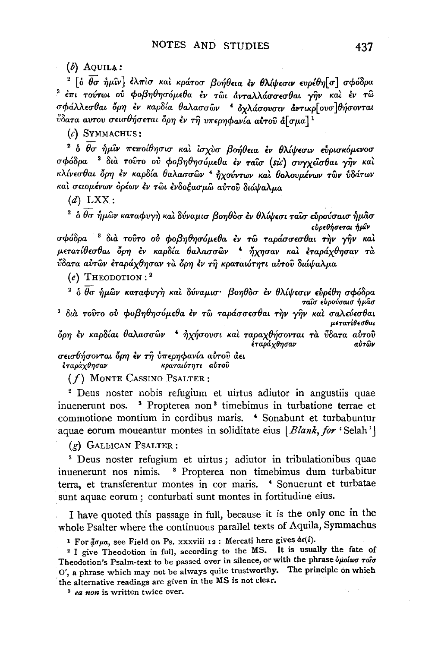$(b)$  AOUILA:

<sup>2</sup> [ο θσ ήμιν] ελπίσ και κράτοσ βοήθεια εν θλίψεσιν ευρέθη[σ] σφόδρα 3 έπι τούτωι ού φοβηθησόμεθα έν τωι άνταλλάσσεσθαι γην και έν τω σφάλλεσθαι όρη έν καρδία θαλασσών ' όχλάσουσιν άντικρ[ουσ]θήσονται ύδατα αυτου σεισθήσεται όρη έν τη υπερηφανία αύτου ά[σμα]<sup>1</sup>

 $(c)$  SYMMACHUS:

<sup>2</sup> δ θσ ήμιν πεποίθησισ και ισχυσ βοήθεια εν θλίψεσιν ευρισκόμενοσ σφόδρα <sup>8</sup> δια τούτο ού φοβηθησόμεθα έν ταΐσ (sic) συγχείσθαι γήν και κλίνεσθαι όρη έν καρδία θαλασσών <sup>4</sup> ήχούντων και θολουμένων των υδάτων και σειομένων ορέων εν τωι ενδοξασμω αυτου διάναλμα

 $(d)$  LXX:

 $^2$  δ  $\overline{\theta\sigma}$  ήμῶν καταφυγὴ καὶ δύναμισ βοηθὸσ ἐν θλίψεσι ταῖσ εὗρούσαισ ἡμᾶσ εύρεθήσεται ήμίν σφόδρα <sup>3</sup> δια τούτο ού φοβηθησόμεθα έν τω ταράσσεσθαι την γήν και

μετατίθεσθαι όρη έν καρδία θαλασσών <sup>4</sup> ήχησαν και εταράχθησαν τα ύδατα αύτων έταράχθησαν τα όρη έν τη κραταιότητι αύτου διάψαλμα

 $(e)$  THEODOTION:<sup>2</sup>

<sup>2</sup> ο θσ ήμων καταφυγή και δύναμισ· βοηθοσ έν θλίψεσιν ευρέθη σφόδρα ταΐσ ευρούσαισ ήμασ

3 διά τούτο ού φοβηθησόμεθα έν τω ταράσσεσθαι την γήν και σαλεύεσθαι μετατίθεσθαι

όρη έν καρδίαι θαλασσών <sup>4</sup> ήχήσουσι και ταραχθήσονται τα ύδατα αύτου έταράχθησαν αύτων

σεισθήσονται όρη έν τη ύπερηφανία αύτου άει έταράχθησαν κραταιότητι αύτου

 $(f)$  MONTE CASSINO PSALTER:

<sup>2</sup> Deus noster nobis refugium et uirtus adiutor in angustiis quae inuenerunt nos. <sup>3</sup> Propterea non<sup>3</sup> timebimus in turbatione terrae et commotione montium in cordibus maris. <sup>4</sup> Sonabunt et turbabuntur aquae eorum moueantur montes in soliditate eius [Blank, for 'Selah']

 $(g)$  GALLICAN PSALTER:

<sup>2</sup> Deus noster refugium et uirtus; adiutor in tribulationibus quae inuenerunt nos nimis. <sup>8</sup> Propterea non timebimus dum turbabitur terra, et transferentur montes in cor maris. <sup>4</sup> Sonuerunt et turbatae sunt aquae eorum; conturbati sunt montes in fortitudine eius.

I have quoted this passage in full, because it is the only one in the whole Psalter where the continuous parallel texts of Aquila, Symmachus

<sup>1</sup> For  $\hat{\phi}$ σμα, see Field on Ps. xxxviii 12: Mercati here gives  $\hat{\alpha}\in\hat{\mathcal{N}}$ .

<sup>2</sup> I give Theodotion in full, according to the MS. It is usually the fate of Theodotion's Psalm-text to be passed over in silence, or with the phrase δμοίωσ τοΐσ O', a phrase which may not be always quite trustworthy. The principle on which the alternative readings are given in the MS is not clear.

<sup>3</sup> ea non is written twice over.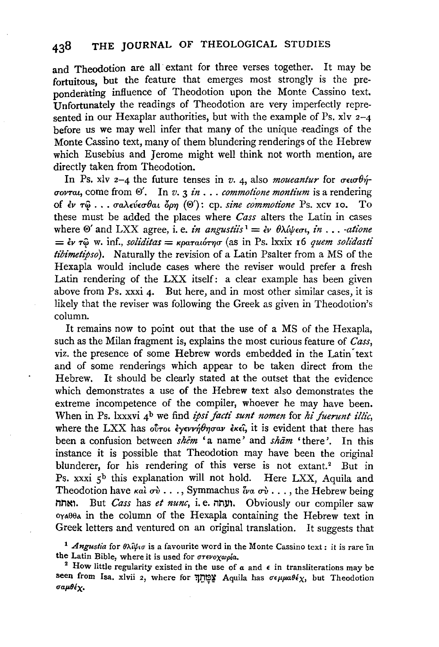and Theodotion are all extant for three verses together. It may be fortuitous, but the feature that emerges most strongly is the preponderating influence of Theodotion upon the Monte Cassino text. Unfortunately the readings of Theodotion are very imperfectly represented in our Hexaplar authorities, but with the example of Ps.  $x\overline{z}$  and  $y\overline{z}$  and  $z$ before us we may well infer that many of the unique readings of the Monte Cassino text, many of them blundering renderings of the Hebrew which Eusebius and Jerome might well think not worth mention, are directly taken from Theodotion.

In Ps. xlv 2-4 the future tenses in *v.* 4, also *moueantur* for  $\sigma \in \sigma \theta \eta$ *uovTat,* come from ®'. In *v.* 3 *in* ... *commotione montium* is a rendering of *lv* T/i) ••• *CTaA(V(CTOat bp'f/* (®'): cp. *sine commotione* Ps. XCV 10, To these must be added the places where *Cass* alters the Latin in cases where  $\Theta'$  and LXX agree, i. e. *in angustiis*  $d = \partial f \partial \phi \partial \phi$ , *in* ... *-atione*  $=$   $\epsilon \nu \tau \hat{\omega}$  w. inf., *soliditas*  $=$  *Kpatatoryo* (as in Ps. lxxix 16 *quem solidasti tibimetipso).* Naturally the revision of a Latin Psalter from a MS of the Hexapla would include cases where the reviser would prefer a fresh Latin rendering of the LXX itself: a clear example has been given above from Ps.  $xxxi$  4. But here, and in most other similar cases, it is likely that the reviser was following the Greek as given in Theodotion's column.

It remains now to point out that the use of a MS of the Hexapla, such as the Milan fragment is, explains the most curious feature of *Cass,*  viz. the presence of some Hebrew words embedded in the Latin text and of some renderings which appear to be taken direct from the Hebrew. It should be clearly stated at the outset that the evidence which demonstrates a use of the Hebrew text also demonstrates the extreme incompetence of the compiler, whoever he may have been. When in Ps. lxxxvi 4<sup>b</sup> we find *ipsi facti sunt nomen* for *hi fuerunt illic*, where the LXX has *ovrot exervit that* is evident that there has been a confusion between *shem* 'a name' and *sham* 'there'. In this instance it is possible that Theodotion may have been the original blunderer, for his rendering of this verse is not extant.<sup>2</sup> But in Ps. xxxi 5<sup>b</sup> this explanation will not hold. Here LXX, Aquila and Theodotion have  $\kappa a \overline{\iota} \sigma \overline{\iota} \ldots$ , Symmachus  $\overline{\iota} \kappa \sigma \overline{\iota} \ldots$ , the Hebrew being nn~l. But *Cass* has *et nunc,* i.e. nn111. Obviously our compiler saw oyABBA in the column of the Hexapla containing the Hebrew text in Greek letters and ventured on an original translation. It suggests that

<sup>1</sup> Angustia for θλίψισ is a favourite word in the Monte Cassino text: it is rare in the Latin Bible, where it is used for  $\sigma$ revoxwpia.

<sup>2</sup> How little regularity existed in the use of  $a$  and  $\epsilon$  in transliterations may be seen from Isa. xlvii 2, where for "שְׁמָּתָן Aquila has  $\sigma \epsilon \mu \mu a \theta \epsilon \chi$ , but Theodotion σαμθέχ.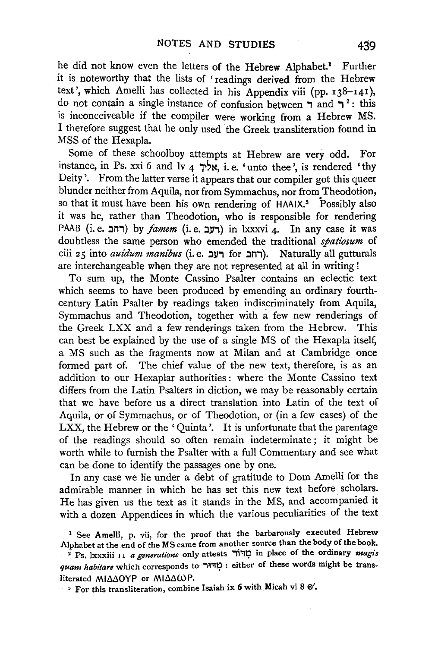he did not know even the letters of the Hebrew Alphabet.<sup>1</sup> Further it is noteworthy that the lists of ' readings derived from the Hebrew text', which Amelli has collected in his Appendix viii (pp. 138-141), do not contain a single instance of confusion between  $\overline{7}$  and  $\overline{7}$  ?: this is inconceiveable if the compiler were working from a Hebrew MS. I therefore suggest that he only used the Greek transliteration found in MSS of the Hexapla.

Some of these schoolboy attempts at Hebrew are very odd. For instance, in Ps. xxi 6 and lv 4  $\forall x$ , i.e. 'unto thee', is rendered 'thy Deity'. From the latter verse it appears that our compiler got this queer blunder neither from Aquila, nor from Symmachus, nor from Theodotion, so that it must have been his own rendering of HAAIX.<sup>8</sup> Possibly also it was he, rather than Theodotion, who is responsible for rendering PAAB (i.e. רחב) by *famem* (i.e. רעב) in lxxxvi 4. In any case it was doubtless the same person who emended the traditional *spatz'osum* of ciii 25 into *auidum manibus* (i.e. רחב). Naturally all gutturals are interchangeable when they are not represented at all in writing !

To sum up, the Monte Cassino Psalter contains an eclectic text which seems to have been produced by emending an ordinary fourthcentury Latin Psalter by readings taken indiscriminately from Aquila, Symmachus and Theodotion, together with a few new renderings of the Greek LXX and a few renderings taken from the Hebrew. This can best be explained by the use of a single MS of the Hexapla itself, a MS such as the fragments now at Milan and at Cambridge once formed part of. The chief value of the new text, therefore, is as an addition to our Hexaplar authorities : where the Monte Cassino text differs from the Latin Psalters in diction, we may be reasonably certain that we have before us a direct translation into Latin of the text of Aquila, or of Symmachus, or of Theodotion, or (in a few cases) of the LXX, the Hebrew or the 'Quinta'. It is unfortunate that the parentage of the readings should so often remain indeterminate; it might be worth while to furnish the Psalter with a full Commentary and see what can be done to identify the passages one by one.

In any case we lie under a debt of gratitude to Dom Amelli for the admirable manner in which he has set this new text before scholars. He has given us the text as it stands in the MS, and accompanied it with a dozen Appendices in which the various peculiarities of the text

<sup>&</sup>lt;sup>1</sup> See Amelli, p. vii, for the proof that the barbarously executed Hebrew Alphabet at the end of the MS came from another source than the body of the book.

<sup>•</sup> Ps. lxxxiii 11 *a generatione* only attests '"li':J!;l in place of the ordinary *magis quam habitare* which corresponds to ''W'I!;l : either of these words might be transliterated MIΔΔOYP or MIΔΔωP.

 $^3$  For this transliteration, combine Isaiah ix 6 with Micah vi 8  $\Theta'$ .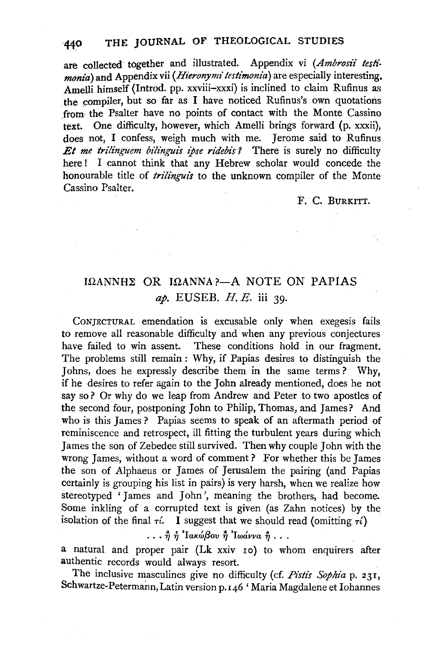are collected together and illustrated. Appendix vi (Ambrosii testi*monia)* and Appendix vii *(Hieronymi testimonia)* are especially interesting, Amelli himself (Introd. pp. xxviii-xxxi) is inclined to claim Rufinus as the compiler, but so far as I have noticed Rufinus's own quotations from· the Psalter have no points of contact with the Monte Cassino text. One difficulty, however, which Amelli brings forward (p. xxxii), does not, I confess, weigh much with me. Jerome said to Rufinus *Et me trilinguem bilinguis ipse ridebis ?* There is surely no difficulty here! I cannot think that any Hebrew scholar would concede the honourable title of *trilinguis* to the unknown compiler of the Monte Cassino Psalter.

## F. C. BURKITT.

## $I\Omega$ ANNH $\Sigma$  OR  $I\Omega$ ANNA?-A NOTE ON PAPIAS *ap.* EUSEB. H. E. iii 39·

CoNJECTURAL emendation is excusable only when exegesis fails to remove all reasonable difficulty and when any previous conjectures have failed to win assent. These conditions hold in our fragment. The problems still remain : Why, if Papias desires to distinguish the Johns, does he expressly describe them in the same terms? Why, if he desires to refer again to the John already mentioned, does he not say so? Or why do we leap from Andrew and Peter to two apostles of the second four, postponing John to Philip, Thomas, and James? And who is this James? Papias seems to speak of an aftermath period of reminiscence and retrospect, ill fitting the turbulent years during which James the son of Zebedee still survived. Then why couple John with the wrong James, without a word of comment? For whether this be James the son of Alphaeus or James of Jerusalem the pairing (and Papias certainly is grouping his list in pairs) is very harsh, when we realize how stereotyped 'James and John', meaning the brothers, had become. Some inkling of a corrupted text is given (as Zahn notices) by the isolation of the final  $\tau$ . I suggest that we should read (omitting  $\tau$ )

... *ἢ ή* 'Ιακώβου ή 'Ιωάννα ή ...

a natural and proper pair (Lk xxiv ro) to whom enquirers after authentic records would always resort.

The inclusive masculines give no difficulty (cf. *Pistis Sophia* p. 231, Schwartze-Petermann, Latin version p. 146 'Maria Magdalene et Iohannes